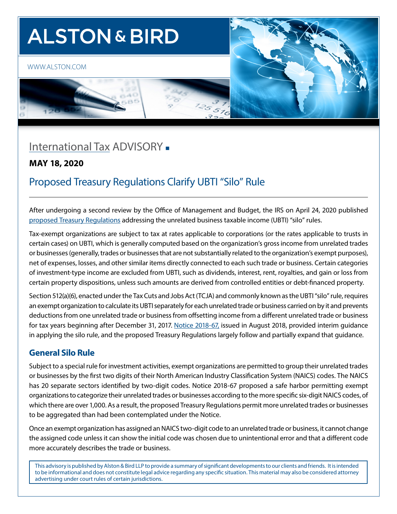# **ALSTON & BIRD**

#### [WWW.ALSTON.COM](https://www.alston.com/en/)





## [International Ta](http://www.alston.com/services/tax/federal/)x ADVISORY -

#### **MAY 18, 2020**

## Proposed Treasury Regulations Clarify UBTI "Silo" Rule

After undergoing a second review by the Office of Management and Budget, the IRS on April 24, 2020 published [proposed Treasury Regulations](https://www.federalregister.gov/documents/2020/04/24/2020-06604/unrelated-business-taxable-income-separately-computed-for-each-trade-or-business) addressing the unrelated business taxable income (UBTI) "silo" rules.

Tax-exempt organizations are subject to tax at rates applicable to corporations (or the rates applicable to trusts in certain cases) on UBTI, which is generally computed based on the organization's gross income from unrelated trades or businesses (generally, trades or businesses that are not substantially related to the organization's exempt purposes), net of expenses, losses, and other similar items directly connected to each such trade or business. Certain categories of investment-type income are excluded from UBTI, such as dividends, interest, rent, royalties, and gain or loss from certain property dispositions, unless such amounts are derived from controlled entities or debt-financed property.

Section 512(a)(6), enacted under the Tax Cuts and Jobs Act (TCJA) and commonly known as the UBTI "silo" rule, requires an exempt organization to calculate its UBTI separately for each unrelated trade or business carried on by it and prevents deductions from one unrelated trade or business from offsetting income from a different unrelated trade or business for tax years beginning after December 31, 2017. [Notice 2018-67,](https://www.irs.gov/pub/irs-drop/n-18-67.pdf) issued in August 2018, provided interim guidance in applying the silo rule, and the proposed Treasury Regulations largely follow and partially expand that guidance.

## **General Silo Rule**

Subject to a special rule for investment activities, exempt organizations are permitted to group their unrelated trades or businesses by the first two digits of their North American Industry Classification System (NAICS) codes. The NAICS has 20 separate sectors identified by two-digit codes. Notice 2018-67 proposed a safe harbor permitting exempt organizations to categorize their unrelated trades or businesses according to the more specific six-digit NAICS codes, of which there are over 1,000. As a result, the proposed Treasury Regulations permit more unrelated trades or businesses to be aggregated than had been contemplated under the Notice.

Once an exempt organization has assigned an NAICS two-digit code to an unrelated trade or business, it cannot change the assigned code unless it can show the initial code was chosen due to unintentional error and that a different code more accurately describes the trade or business.

This advisory is published by Alston & Bird LLP to provide a summary of significant developments to our clients and friends. It is intended to be informational and does not constitute legal advice regarding any specific situation. This material may also be considered attorney advertising under court rules of certain jurisdictions.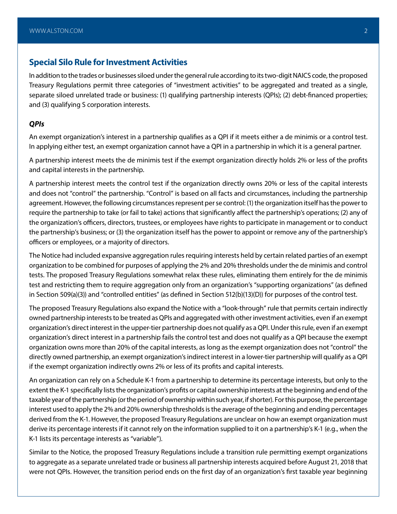#### **Special Silo Rule for Investment Activities**

In addition to the trades or businesses siloed under the general rule according to its two-digit NAICS code, the proposed Treasury Regulations permit three categories of "investment activities" to be aggregated and treated as a single, separate siloed unrelated trade or business: (1) qualifying partnership interests (QPIs); (2) debt-financed properties; and (3) qualifying S corporation interests.

#### *QPIs*

An exempt organization's interest in a partnership qualifies as a QPI if it meets either a de minimis or a control test. In applying either test, an exempt organization cannot have a QPI in a partnership in which it is a general partner.

A partnership interest meets the de minimis test if the exempt organization directly holds 2% or less of the profits and capital interests in the partnership.

A partnership interest meets the control test if the organization directly owns 20% or less of the capital interests and does not "control" the partnership. "Control" is based on all facts and circumstances, including the partnership agreement. However, the following circumstances represent per se control: (1) the organization itself has the power to require the partnership to take (or fail to take) actions that significantly affect the partnership's operations; (2) any of the organization's officers, directors, trustees, or employees have rights to participate in management or to conduct the partnership's business; or (3) the organization itself has the power to appoint or remove any of the partnership's officers or employees, or a majority of directors.

The Notice had included expansive aggregation rules requiring interests held by certain related parties of an exempt organization to be combined for purposes of applying the 2% and 20% thresholds under the de minimis and control tests. The proposed Treasury Regulations somewhat relax these rules, eliminating them entirely for the de minimis test and restricting them to require aggregation only from an organization's "supporting organizations" (as defined in Section 509(a)(3)) and "controlled entities" (as defined in Section 512(b)(13)(D)) for purposes of the control test.

The proposed Treasury Regulations also expand the Notice with a "look-through" rule that permits certain indirectly owned partnership interests to be treated as QPIs and aggregated with other investment activities, even if an exempt organization's direct interest in the upper-tier partnership does not qualify as a QPI. Under this rule, even if an exempt organization's direct interest in a partnership fails the control test and does not qualify as a QPI because the exempt organization owns more than 20% of the capital interests, as long as the exempt organization does not "control" the directly owned partnership, an exempt organization's indirect interest in a lower-tier partnership will qualify as a QPI if the exempt organization indirectly owns 2% or less of its profits and capital interests.

An organization can rely on a Schedule K-1 from a partnership to determine its percentage interests, but only to the extent the K-1 specifically lists the organization's profits or capital ownership interests at the beginning and end of the taxable year of the partnership (or the period of ownership within such year, if shorter). For this purpose, the percentage interest used to apply the 2% and 20% ownership thresholds is the average of the beginning and ending percentages derived from the K-1. However, the proposed Treasury Regulations are unclear on how an exempt organization must derive its percentage interests if it cannot rely on the information supplied to it on a partnership's K-1 (e.g., when the K-1 lists its percentage interests as "variable").

Similar to the Notice, the proposed Treasury Regulations include a transition rule permitting exempt organizations to aggregate as a separate unrelated trade or business all partnership interests acquired before August 21, 2018 that were not QPIs. However, the transition period ends on the first day of an organization's first taxable year beginning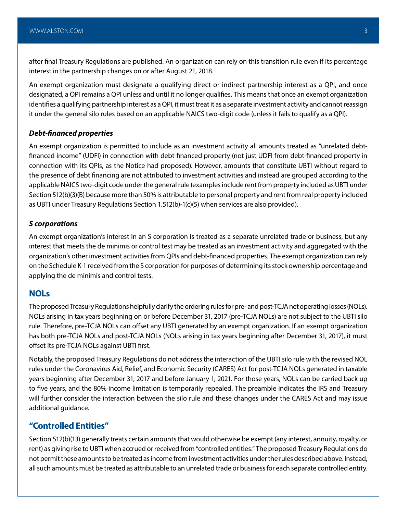after final Treasury Regulations are published. An organization can rely on this transition rule even if its percentage interest in the partnership changes on or after August 21, 2018.

An exempt organization must designate a qualifying direct or indirect partnership interest as a QPI, and once designated, a QPI remains a QPI unless and until it no longer qualifies. This means that once an exempt organization identifies a qualifying partnership interest as a QPI, it must treat it as a separate investment activity and cannot reassign it under the general silo rules based on an applicable NAICS two-digit code (unless it fails to qualify as a QPI).

#### *Debt-financed properties*

An exempt organization is permitted to include as an investment activity all amounts treated as "unrelated debtfinanced income" (UDFI) in connection with debt-financed property (not just UDFI from debt-financed property in connection with its QPIs, as the Notice had proposed). However, amounts that constitute UBTI without regard to the presence of debt financing are not attributed to investment activities and instead are grouped according to the applicable NAICS two-digit code under the general rule (examples include rent from property included as UBTI under Section 512(b)(3)(B) because more than 50% is attributable to personal property and rent from real property included as UBTI under Treasury Regulations Section 1.512(b)-1(c)(5) when services are also provided).

#### *S corporations*

An exempt organization's interest in an S corporation is treated as a separate unrelated trade or business, but any interest that meets the de minimis or control test may be treated as an investment activity and aggregated with the organization's other investment activities from QPIs and debt-financed properties. The exempt organization can rely on the Schedule K-1 received from the S corporation for purposes of determining its stock ownership percentage and applying the de minimis and control tests.

#### **NOLs**

The proposed Treasury Regulations helpfully clarify the ordering rules for pre- and post-TCJA net operating losses (NOLs). NOLs arising in tax years beginning on or before December 31, 2017 (pre-TCJA NOLs) are not subject to the UBTI silo rule. Therefore, pre-TCJA NOLs can offset any UBTI generated by an exempt organization. If an exempt organization has both pre-TCJA NOLs and post-TCJA NOLs (NOLs arising in tax years beginning after December 31, 2017), it must offset its pre-TCJA NOLs against UBTI first.

Notably, the proposed Treasury Regulations do not address the interaction of the UBTI silo rule with the revised NOL rules under the Coronavirus Aid, Relief, and Economic Security (CARES) Act for post-TCJA NOLs generated in taxable years beginning after December 31, 2017 and before January 1, 2021. For those years, NOLs can be carried back up to five years, and the 80% income limitation is temporarily repealed. The preamble indicates the IRS and Treasury will further consider the interaction between the silo rule and these changes under the CARES Act and may issue additional guidance.

#### **"Controlled Entities"**

Section 512(b)(13) generally treats certain amounts that would otherwise be exempt (any interest, annuity, royalty, or rent) as giving rise to UBTI when accrued or received from "controlled entities." The proposed Treasury Regulations do not permit these amounts to be treated as income from investment activities under the rules described above. Instead, all such amounts must be treated as attributable to an unrelated trade or business for each separate controlled entity.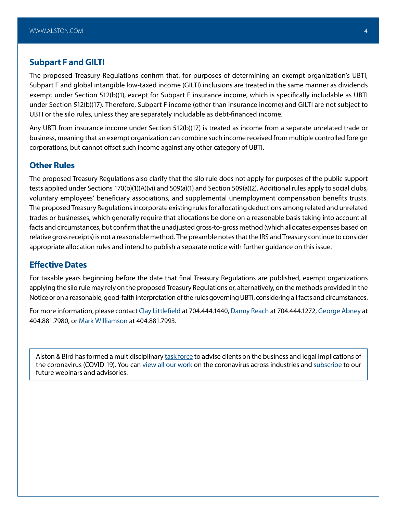#### **Subpart F and GILTI**

The proposed Treasury Regulations confirm that, for purposes of determining an exempt organization's UBTI, Subpart F and global intangible low-taxed income (GILTI) inclusions are treated in the same manner as dividends exempt under Section 512(b)(1), except for Subpart F insurance income, which is specifically includable as UBTI under Section 512(b)(17). Therefore, Subpart F income (other than insurance income) and GILTI are not subject to UBTI or the silo rules, unless they are separately includable as debt-financed income.

Any UBTI from insurance income under Section 512(b)(17) is treated as income from a separate unrelated trade or business, meaning that an exempt organization can combine such income received from multiple controlled foreign corporations, but cannot offset such income against any other category of UBTI.

#### **Other Rules**

The proposed Treasury Regulations also clarify that the silo rule does not apply for purposes of the public support tests applied under Sections 170(b)(1)(A)(vi) and 509(a)(1) and Section 509(a)(2). Additional rules apply to social clubs, voluntary employees' beneficiary associations, and supplemental unemployment compensation benefits trusts. The proposed Treasury Regulations incorporate existing rules for allocating deductions among related and unrelated trades or businesses, which generally require that allocations be done on a reasonable basis taking into account all facts and circumstances, but confirm that the unadjusted gross-to-gross method (which allocates expenses based on relative gross receipts) is not a reasonable method. The preamble notes that the IRS and Treasury continue to consider appropriate allocation rules and intend to publish a separate notice with further guidance on this issue.

#### **Effective Dates**

For taxable years beginning before the date that final Treasury Regulations are published, exempt organizations applying the silo rule may rely on the proposed Treasury Regulations or, alternatively, on the methods provided in the Notice or on a reasonable, good-faith interpretation of the rules governing UBTI, considering all facts and circumstances.

For more information, please contact [Clay Littlefield](https://www.alston.com/en/professionals/l/littlefield-clay-a) at 704.444.1440, [Danny Reach](http://www.alston.com/professionals/danny-reach/) at 704.444.1272, [George Abney](https://www.alston.com/en/professionals/a/abney-george/) at 404.881.7980, or [Mark Williamson](https://www.alston.com/en/professionals/w/williamson-mark/) at 404.881.7993.

Alston & Bird has formed a multidisciplinary [task force](https://www.alston.com/en/resources/coronavirus/overview) to advise clients on the business and legal implications of the coronavirus (COVID-19). You can [view all our work](https://www.alston.com/en/insights/?keyword=Coronavirus&reload=false&scroll=499.7685546875) on the coronavirus across industries and [subscribe](https://www.alston.com/en/resources/subscriptions-form) to our future webinars and advisories.